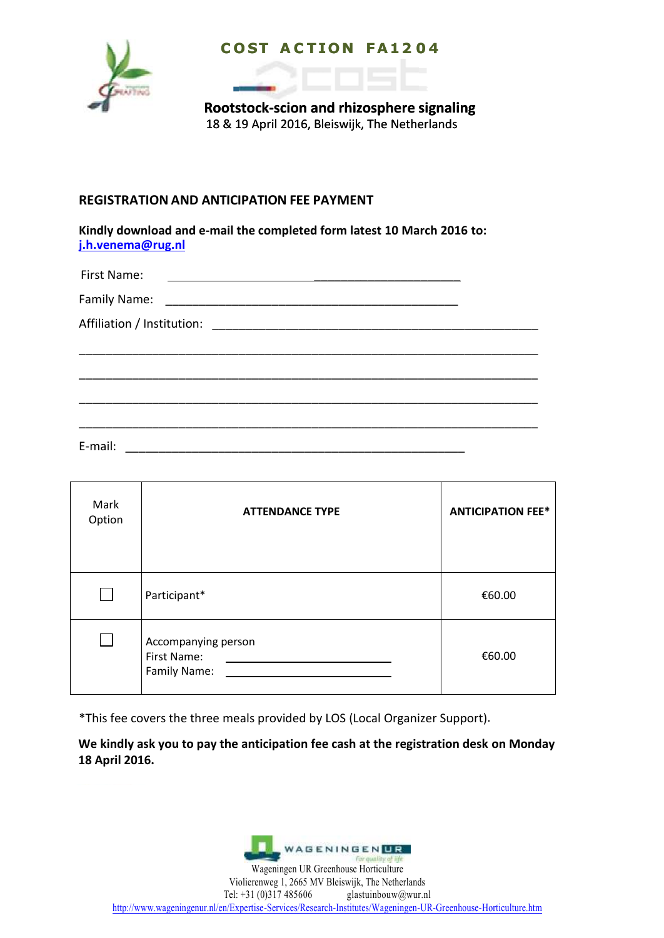

## **C O ST A C T I O N F A 1 2 0 4**

**Rootstock-scion and rhizosphere signaling** 18 & 19 April 2016, Bleiswijk, The Netherlands

### **REGISTRATION AND ANTICIPATION FEE PAYMENT**

**Kindly download and e-mail the completed form latest 10 March 2016 to: [j.h.venema@rug.nl](mailto:j.h.venema@rug.nl)**

| First Name:<br><u>and the contract of the contract of the contract of the contract of the contract of the contract of the contra</u> |  |
|--------------------------------------------------------------------------------------------------------------------------------------|--|
|                                                                                                                                      |  |
|                                                                                                                                      |  |
|                                                                                                                                      |  |
|                                                                                                                                      |  |
|                                                                                                                                      |  |
|                                                                                                                                      |  |
|                                                                                                                                      |  |

E-mail: \_\_\_\_\_\_\_\_\_\_\_\_\_\_\_\_\_\_\_\_\_\_\_\_\_\_\_\_\_\_\_\_\_\_\_\_\_\_\_\_\_\_\_\_\_\_\_\_\_\_\_

| Mark<br>Option | <b>ATTENDANCE TYPE</b>                             | <b>ANTICIPATION FEE*</b> |
|----------------|----------------------------------------------------|--------------------------|
|                | Participant*                                       | €60.00                   |
|                | Accompanying person<br>First Name:<br>Family Name: | €60.00                   |

\*This fee covers the three meals provided by LOS (Local Organizer Support).

**We kindly ask you to pay the anticipation fee cash at the registration desk on Monday 18 April 2016.**